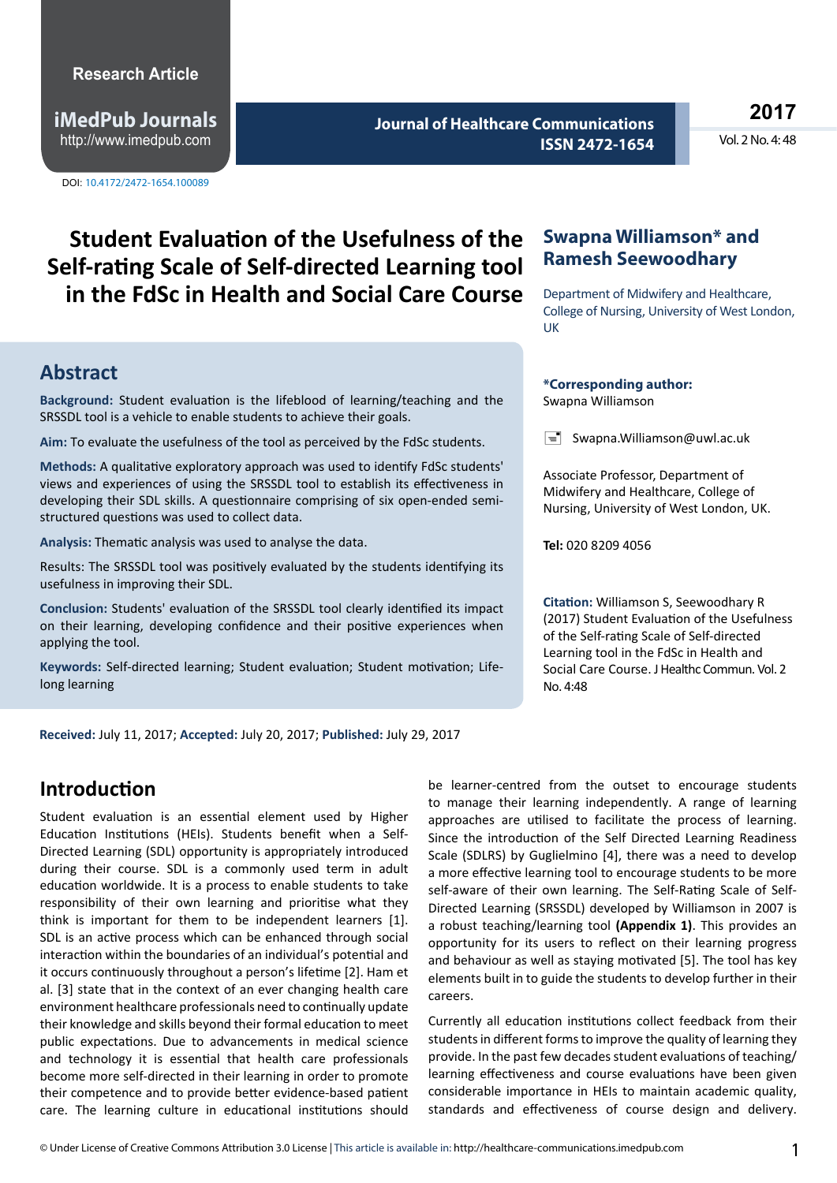**iMedPub Journals** http://www.imedpub.com

DOI: 10.4172/2472-1654.100089

**Journal of Healthcare Communications ISSN 2472-1654** **2017**

Vol. 2 No. 4: 48

# **Student Evaluation of the Usefulness of the Self-rating Scale of Self-directed Learning tool in the FdSc in Health and Social Care Course**

### **Abstract**

**Background:** Student evaluation is the lifeblood of learning/teaching and the SRSSDL tool is a vehicle to enable students to achieve their goals.

**Aim:** To evaluate the usefulness of the tool as perceived by the FdSc students.

**Methods:** A qualitative exploratory approach was used to identify FdSc students' views and experiences of using the SRSSDL tool to establish its effectiveness in developing their SDL skills. A questionnaire comprising of six open-ended semistructured questions was used to collect data.

**Analysis:** Thematic analysis was used to analyse the data.

Results: The SRSSDL tool was positively evaluated by the students identifying its usefulness in improving their SDL.

**Conclusion:** Students' evaluation of the SRSSDL tool clearly identified its impact on their learning, developing confidence and their positive experiences when applying the tool.

**Keywords:** Self-directed learning; Student evaluation; Student motivation; Lifelong learning

### **Swapna Williamson\* and Ramesh Seewoodhary**

Department of Midwifery and Healthcare, College of Nursing, University of West London, UK

#### **\*Corresponding author:** Swapna Williamson

 $\equiv$  Swapna.Williamson@uwl.ac.uk

Associate Professor, Department of Midwifery and Healthcare, College of Nursing, University of West London, UK.

**Tel:** 020 8209 4056

**Citation:** Williamson S, Seewoodhary R (2017) Student Evaluation of the Usefulness of the Self-rating Scale of Self-directed Learning tool in the FdSc in Health and Social Care Course. J Healthc Commun. Vol. 2 No. 4:48

**Received:** July 11, 2017; **Accepted:** July 20, 2017; **Published:** July 29, 2017

## **Introduction**

Student evaluation is an essential element used by Higher Education Institutions (HEIs). Students benefit when a Self-Directed Learning (SDL) opportunity is appropriately introduced during their course. SDL is a commonly used term in adult education worldwide. It is a process to enable students to take responsibility of their own learning and prioritise what they think is important for them to be independent learners [1]. SDL is an active process which can be enhanced through social interaction within the boundaries of an individual's potential and it occurs continuously throughout a person's lifetime [2]. Ham et al. [3] state that in the context of an ever changing health care environment healthcare professionals need to continually update their knowledge and skills beyond their formal education to meet public expectations. Due to advancements in medical science and technology it is essential that health care professionals become more self-directed in their learning in order to promote their competence and to provide better evidence-based patient care. The learning culture in educational institutions should

be learner-centred from the outset to encourage students to manage their learning independently. A range of learning approaches are utilised to facilitate the process of learning. Since the introduction of the Self Directed Learning Readiness Scale (SDLRS) by Guglielmino [4], there was a need to develop a more effective learning tool to encourage students to be more self-aware of their own learning. The Self-Rating Scale of Self-Directed Learning (SRSSDL) developed by Williamson in 2007 is a robust teaching/learning tool **(Appendix 1)**. This provides an opportunity for its users to reflect on their learning progress and behaviour as well as staying motivated [5]. The tool has key elements built in to guide the students to develop further in their careers.

Currently all education institutions collect feedback from their students in different forms to improve the quality of learning they provide. In the past few decades student evaluations of teaching/ learning effectiveness and course evaluations have been given considerable importance in HEIs to maintain academic quality, standards and effectiveness of course design and delivery.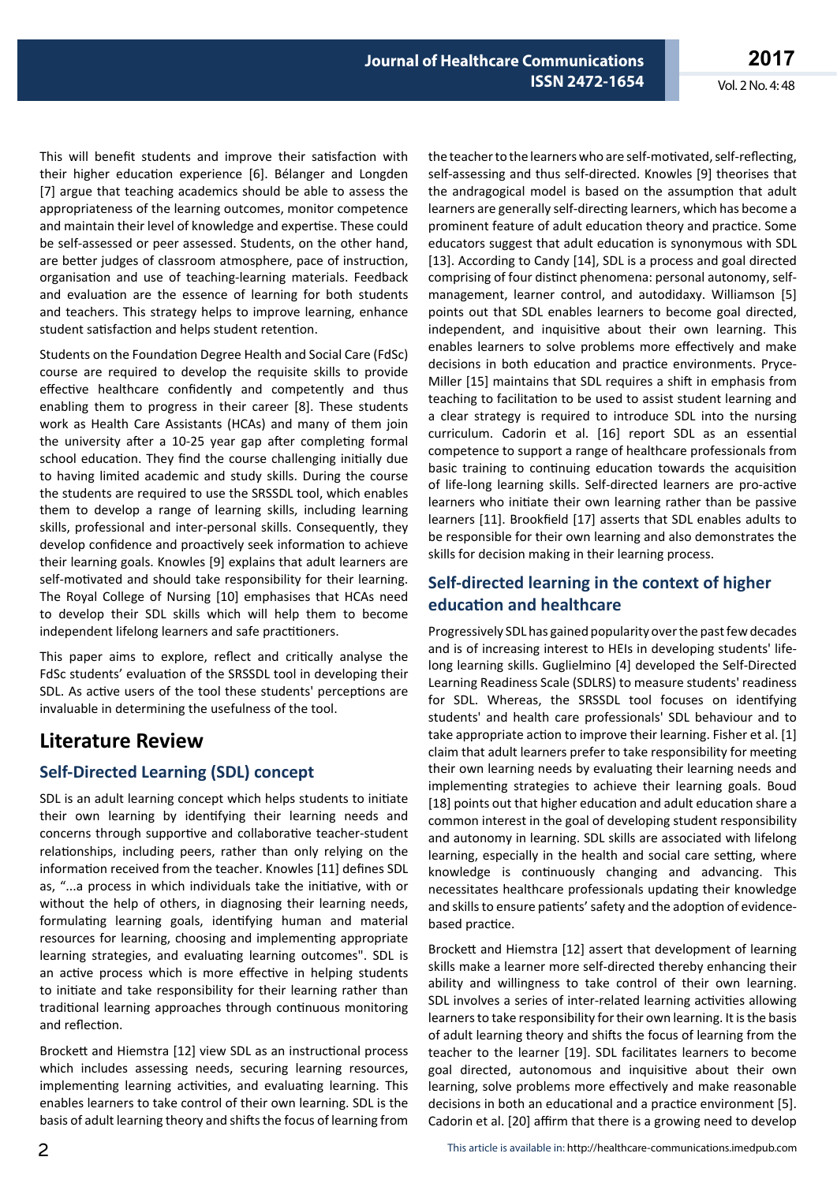This will benefit students and improve their satisfaction with their higher education experience [6]. Bélanger and Longden [7] argue that teaching academics should be able to assess the appropriateness of the learning outcomes, monitor competence and maintain their level of knowledge and expertise. These could be self-assessed or peer assessed. Students, on the other hand, are better judges of classroom atmosphere, pace of instruction, organisation and use of teaching-learning materials. Feedback and evaluation are the essence of learning for both students and teachers. This strategy helps to improve learning, enhance student satisfaction and helps student retention.

Students on the Foundation Degree Health and Social Care (FdSc) course are required to develop the requisite skills to provide effective healthcare confidently and competently and thus enabling them to progress in their career [8]. These students work as Health Care Assistants (HCAs) and many of them join the university after a 10-25 year gap after completing formal school education. They find the course challenging initially due to having limited academic and study skills. During the course the students are required to use the SRSSDL tool, which enables them to develop a range of learning skills, including learning skills, professional and inter-personal skills. Consequently, they develop confidence and proactively seek information to achieve their learning goals. Knowles [9] explains that adult learners are self-motivated and should take responsibility for their learning. The Royal College of Nursing [10] emphasises that HCAs need to develop their SDL skills which will help them to become independent lifelong learners and safe practitioners.

This paper aims to explore, reflect and critically analyse the FdSc students' evaluation of the SRSSDL tool in developing their SDL. As active users of the tool these students' perceptions are invaluable in determining the usefulness of the tool.

### **Literature Review**

### **Self-Directed Learning (SDL) concept**

SDL is an adult learning concept which helps students to initiate their own learning by identifying their learning needs and concerns through supportive and collaborative teacher-student relationships, including peers, rather than only relying on the information received from the teacher. Knowles [11] defines SDL as, "...a process in which individuals take the initiative, with or without the help of others, in diagnosing their learning needs, formulating learning goals, identifying human and material resources for learning, choosing and implementing appropriate learning strategies, and evaluating learning outcomes". SDL is an active process which is more effective in helping students to initiate and take responsibility for their learning rather than traditional learning approaches through continuous monitoring and reflection.

Brockett and Hiemstra [12] view SDL as an instructional process which includes assessing needs, securing learning resources, implementing learning activities, and evaluating learning. This enables learners to take control of their own learning. SDL is the basis of adult learning theory and shifts the focus of learning from the teacher to the learners who are self-motivated, self-reflecting, self-assessing and thus self-directed. Knowles [9] theorises that the andragogical model is based on the assumption that adult learners are generally self-directing learners, which has become a prominent feature of adult education theory and practice. Some educators suggest that adult education is synonymous with SDL [13]. According to Candy [14], SDL is a process and goal directed comprising of four distinct phenomena: personal autonomy, selfmanagement, learner control, and autodidaxy. Williamson [5] points out that SDL enables learners to become goal directed, independent, and inquisitive about their own learning. This enables learners to solve problems more effectively and make decisions in both education and practice environments. Pryce-Miller [15] maintains that SDL requires a shift in emphasis from teaching to facilitation to be used to assist student learning and a clear strategy is required to introduce SDL into the nursing curriculum. Cadorin et al. [16] report SDL as an essential competence to support a range of healthcare professionals from basic training to continuing education towards the acquisition of life-long learning skills. Self-directed learners are pro-active learners who initiate their own learning rather than be passive learners [11]. Brookfield [17] asserts that SDL enables adults to be responsible for their own learning and also demonstrates the skills for decision making in their learning process.

### **Self-directed learning in the context of higher education and healthcare**

Progressively SDL has gained popularity over the past few decades and is of increasing interest to HEIs in developing students' lifelong learning skills. Guglielmino [4] developed the Self-Directed Learning Readiness Scale (SDLRS) to measure students' readiness for SDL. Whereas, the SRSSDL tool focuses on identifying students' and health care professionals' SDL behaviour and to take appropriate action to improve their learning. Fisher et al. [1] claim that adult learners prefer to take responsibility for meeting their own learning needs by evaluating their learning needs and implementing strategies to achieve their learning goals. Boud [18] points out that higher education and adult education share a common interest in the goal of developing student responsibility and autonomy in learning. SDL skills are associated with lifelong learning, especially in the health and social care setting, where knowledge is continuously changing and advancing. This necessitates healthcare professionals updating their knowledge and skills to ensure patients' safety and the adoption of evidencebased practice.

Brockett and Hiemstra [12] assert that development of learning skills make a learner more self-directed thereby enhancing their ability and willingness to take control of their own learning. SDL involves a series of inter-related learning activities allowing learners to take responsibility for their own learning. It is the basis of adult learning theory and shifts the focus of learning from the teacher to the learner [19]. SDL facilitates learners to become goal directed, autonomous and inquisitive about their own learning, solve problems more effectively and make reasonable decisions in both an educational and a practice environment [5]. Cadorin et al. [20] affirm that there is a growing need to develop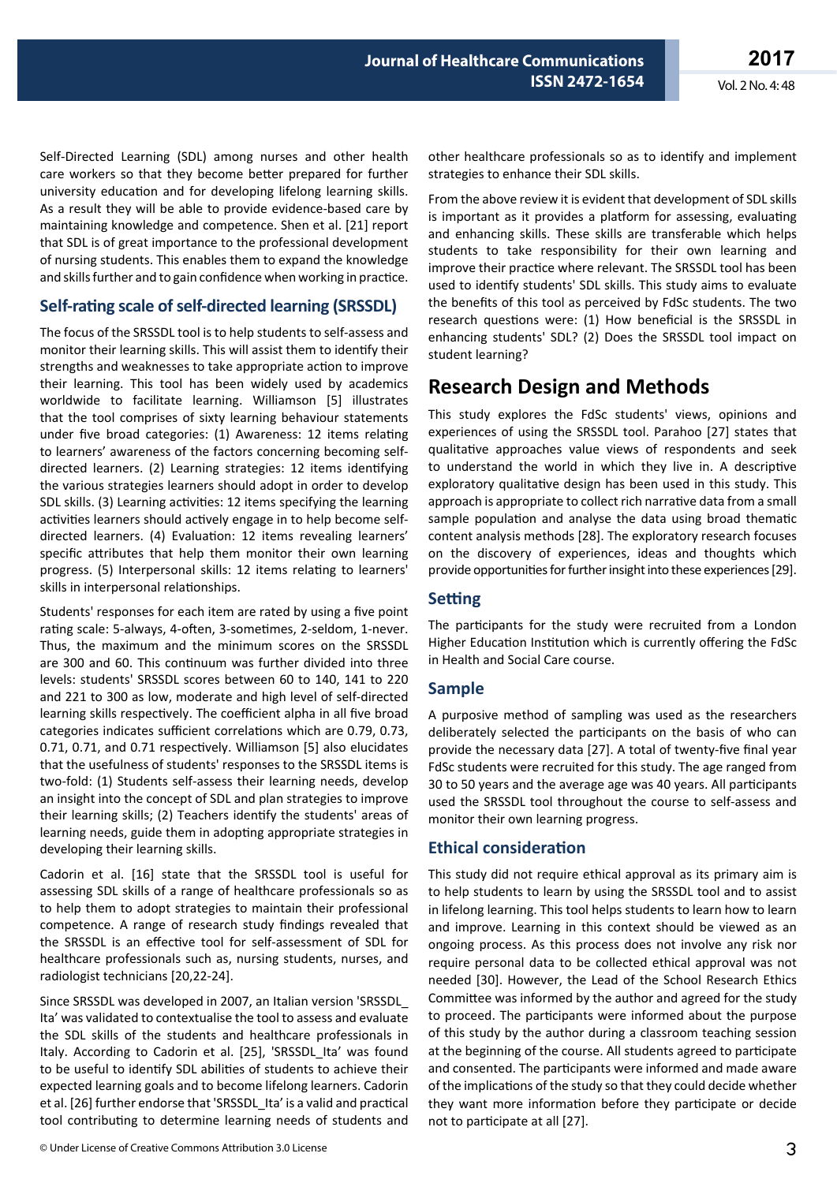Self-Directed Learning (SDL) among nurses and other health care workers so that they become better prepared for further university education and for developing lifelong learning skills. As a result they will be able to provide evidence-based care by maintaining knowledge and competence. Shen et al. [21] report that SDL is of great importance to the professional development of nursing students. This enables them to expand the knowledge and skills further and to gain confidence when working in practice.

#### **Self-rating scale of self-directed learning (SRSSDL)**

The focus of the SRSSDL tool is to help students to self-assess and monitor their learning skills. This will assist them to identify their strengths and weaknesses to take appropriate action to improve their learning. This tool has been widely used by academics worldwide to facilitate learning. Williamson [5] illustrates that the tool comprises of sixty learning behaviour statements under five broad categories: (1) Awareness: 12 items relating to learners' awareness of the factors concerning becoming selfdirected learners. (2) Learning strategies: 12 items identifying the various strategies learners should adopt in order to develop SDL skills. (3) Learning activities: 12 items specifying the learning activities learners should actively engage in to help become selfdirected learners. (4) Evaluation: 12 items revealing learners' specific attributes that help them monitor their own learning progress. (5) Interpersonal skills: 12 items relating to learners' skills in interpersonal relationships.

Students' responses for each item are rated by using a five point rating scale: 5-always, 4-often, 3-sometimes, 2-seldom, 1-never. Thus, the maximum and the minimum scores on the SRSSDL are 300 and 60. This continuum was further divided into three levels: students' SRSSDL scores between 60 to 140, 141 to 220 and 221 to 300 as low, moderate and high level of self-directed learning skills respectively. The coefficient alpha in all five broad categories indicates sufficient correlations which are 0.79, 0.73, 0.71, 0.71, and 0.71 respectively. Williamson [5] also elucidates that the usefulness of students' responses to the SRSSDL items is two-fold: (1) Students self-assess their learning needs, develop an insight into the concept of SDL and plan strategies to improve their learning skills; (2) Teachers identify the students' areas of learning needs, guide them in adopting appropriate strategies in developing their learning skills.

Cadorin et al. [16] state that the SRSSDL tool is useful for assessing SDL skills of a range of healthcare professionals so as to help them to adopt strategies to maintain their professional competence. A range of research study findings revealed that the SRSSDL is an effective tool for self-assessment of SDL for healthcare professionals such as, nursing students, nurses, and radiologist technicians [20,22-24].

Since SRSSDL was developed in 2007, an Italian version 'SRSSDL\_ Ita' was validated to contextualise the tool to assess and evaluate the SDL skills of the students and healthcare professionals in Italy. According to Cadorin et al. [25], 'SRSSDL Ita' was found to be useful to identify SDL abilities of students to achieve their expected learning goals and to become lifelong learners. Cadorin et al. [26] further endorse that 'SRSSDL\_Ita' is a valid and practical tool contributing to determine learning needs of students and

other healthcare professionals so as to identify and implement strategies to enhance their SDL skills.

From the above review it is evident that development of SDL skills is important as it provides a platform for assessing, evaluating and enhancing skills. These skills are transferable which helps students to take responsibility for their own learning and improve their practice where relevant. The SRSSDL tool has been used to identify students' SDL skills. This study aims to evaluate the benefits of this tool as perceived by FdSc students. The two research questions were: (1) How beneficial is the SRSSDL in enhancing students' SDL? (2) Does the SRSSDL tool impact on student learning?

### **Research Design and Methods**

This study explores the FdSc students' views, opinions and experiences of using the SRSSDL tool. Parahoo [27] states that qualitative approaches value views of respondents and seek to understand the world in which they live in. A descriptive exploratory qualitative design has been used in this study. This approach is appropriate to collect rich narrative data from a small sample population and analyse the data using broad thematic content analysis methods [28]. The exploratory research focuses on the discovery of experiences, ideas and thoughts which provide opportunities for further insight into these experiences [29].

#### **Setting**

The participants for the study were recruited from a London Higher Education Institution which is currently offering the FdSc in Health and Social Care course.

#### **Sample**

A purposive method of sampling was used as the researchers deliberately selected the participants on the basis of who can provide the necessary data [27]. A total of twenty-five final year FdSc students were recruited for this study. The age ranged from 30 to 50 years and the average age was 40 years. All participants used the SRSSDL tool throughout the course to self-assess and monitor their own learning progress.

#### **Ethical consideration**

This study did not require ethical approval as its primary aim is to help students to learn by using the SRSSDL tool and to assist in lifelong learning. This tool helps students to learn how to learn and improve. Learning in this context should be viewed as an ongoing process. As this process does not involve any risk nor require personal data to be collected ethical approval was not needed [30]. However, the Lead of the School Research Ethics Committee was informed by the author and agreed for the study to proceed. The participants were informed about the purpose of this study by the author during a classroom teaching session at the beginning of the course. All students agreed to participate and consented. The participants were informed and made aware of the implications of the study so that they could decide whether they want more information before they participate or decide not to participate at all [27].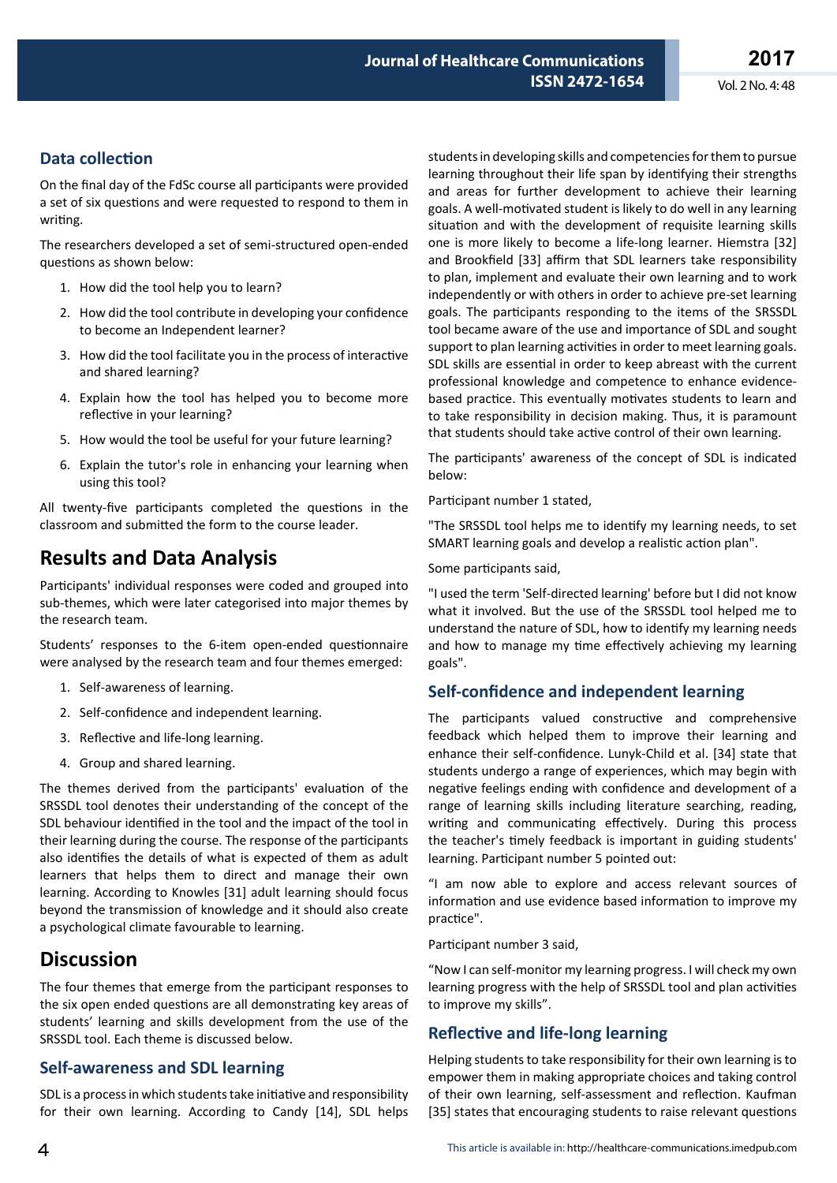### **Data collection**

On the final day of the FdSc course all participants were provided a set of six questions and were requested to respond to them in writing.

The researchers developed a set of semi-structured open-ended questions as shown below:

- 1. How did the tool help you to learn?
- 2. How did the tool contribute in developing your confidence to become an Independent learner?
- 3. How did the tool facilitate you in the process of interactive and shared learning?
- 4. Explain how the tool has helped you to become more reflective in your learning?
- 5. How would the tool be useful for your future learning?
- 6. Explain the tutor's role in enhancing your learning when using this tool?

All twenty-five participants completed the questions in the classroom and submitted the form to the course leader.

## **Results and Data Analysis**

Participants' individual responses were coded and grouped into sub-themes, which were later categorised into major themes by the research team.

Students' responses to the 6-item open-ended questionnaire were analysed by the research team and four themes emerged:

- 1. Self-awareness of learning.
- 2. Self-confidence and independent learning.
- 3. Reflective and life-long learning.
- 4. Group and shared learning.

The themes derived from the participants' evaluation of the SRSSDL tool denotes their understanding of the concept of the SDL behaviour identified in the tool and the impact of the tool in their learning during the course. The response of the participants also identifies the details of what is expected of them as adult learners that helps them to direct and manage their own learning. According to Knowles [31] adult learning should focus beyond the transmission of knowledge and it should also create a psychological climate favourable to learning.

## **Discussion**

The four themes that emerge from the participant responses to the six open ended questions are all demonstrating key areas of students' learning and skills development from the use of the SRSSDL tool. Each theme is discussed below.

### **Self-awareness and SDL learning**

SDL is a process in which students take initiative and responsibility for their own learning. According to Candy [14], SDL helps

students in developing skills and competencies for them to pursue learning throughout their life span by identifying their strengths and areas for further development to achieve their learning goals. A well-motivated student is likely to do well in any learning situation and with the development of requisite learning skills one is more likely to become a life-long learner. Hiemstra [32] and Brookfield [33] affirm that SDL learners take responsibility to plan, implement and evaluate their own learning and to work independently or with others in order to achieve pre-set learning goals. The participants responding to the items of the SRSSDL tool became aware of the use and importance of SDL and sought support to plan learning activities in order to meet learning goals. SDL skills are essential in order to keep abreast with the current professional knowledge and competence to enhance evidencebased practice. This eventually motivates students to learn and to take responsibility in decision making. Thus, it is paramount that students should take active control of their own learning.

The participants' awareness of the concept of SDL is indicated below:

Participant number 1 stated,

"The SRSSDL tool helps me to identify my learning needs, to set SMART learning goals and develop a realistic action plan".

Some participants said,

"I used the term 'Self-directed learning' before but I did not know what it involved. But the use of the SRSSDL tool helped me to understand the nature of SDL, how to identify my learning needs and how to manage my time effectively achieving my learning goals".

### **Self-confidence and independent learning**

The participants valued constructive and comprehensive feedback which helped them to improve their learning and enhance their self-confidence. Lunyk-Child et al. [34] state that students undergo a range of experiences, which may begin with negative feelings ending with confidence and development of a range of learning skills including literature searching, reading, writing and communicating effectively. During this process the teacher's timely feedback is important in guiding students' learning. Participant number 5 pointed out:

"I am now able to explore and access relevant sources of information and use evidence based information to improve my practice".

Participant number 3 said,

"Now I can self-monitor my learning progress. I will check my own learning progress with the help of SRSSDL tool and plan activities to improve my skills".

### **Reflective and life-long learning**

Helping students to take responsibility for their own learning is to empower them in making appropriate choices and taking control of their own learning, self-assessment and reflection. Kaufman [35] states that encouraging students to raise relevant questions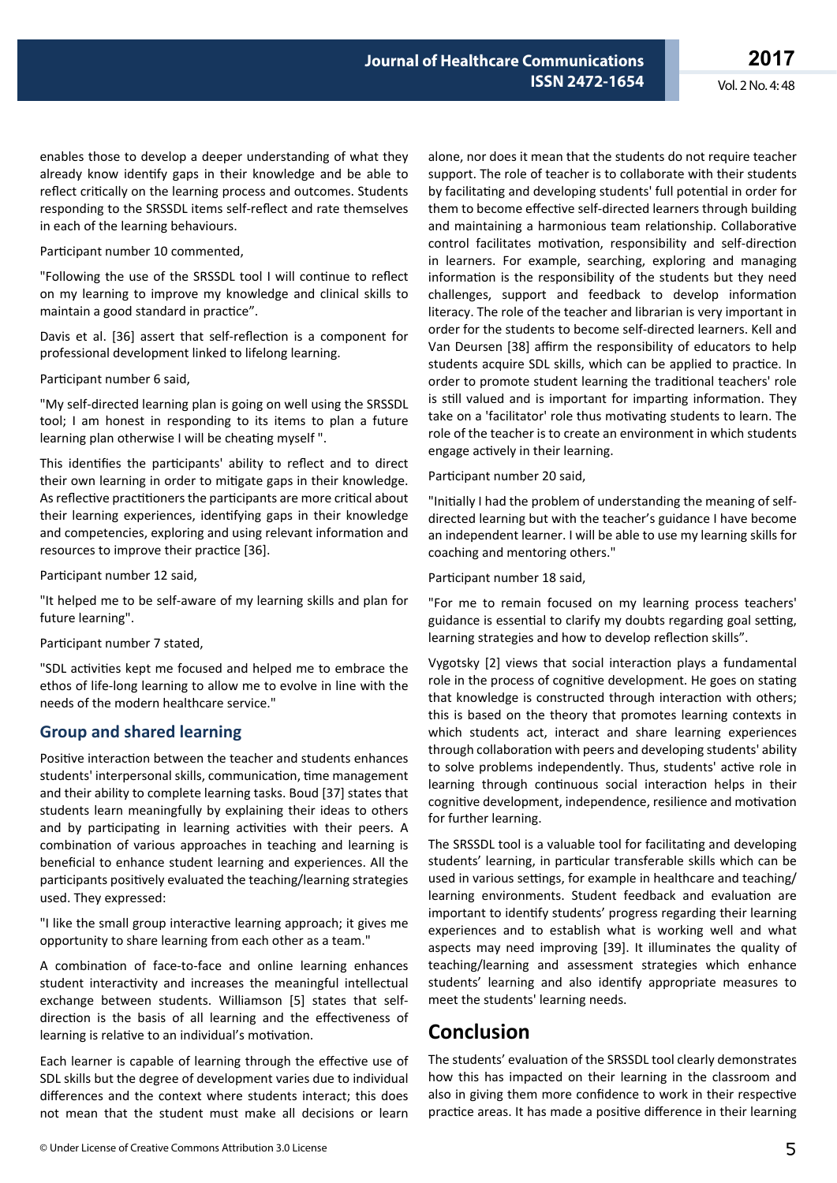enables those to develop a deeper understanding of what they already know identify gaps in their knowledge and be able to reflect critically on the learning process and outcomes. Students responding to the SRSSDL items self-reflect and rate themselves in each of the learning behaviours.

Participant number 10 commented,

"Following the use of the SRSSDL tool I will continue to reflect on my learning to improve my knowledge and clinical skills to maintain a good standard in practice".

Davis et al. [36] assert that self-reflection is a component for professional development linked to lifelong learning.

Participant number 6 said,

"My self-directed learning plan is going on well using the SRSSDL tool; I am honest in responding to its items to plan a future learning plan otherwise I will be cheating myself ".

This identifies the participants' ability to reflect and to direct their own learning in order to mitigate gaps in their knowledge. As reflective practitioners the participants are more critical about their learning experiences, identifying gaps in their knowledge and competencies, exploring and using relevant information and resources to improve their practice [36].

Participant number 12 said,

"It helped me to be self-aware of my learning skills and plan for future learning".

Participant number 7 stated,

"SDL activities kept me focused and helped me to embrace the ethos of life-long learning to allow me to evolve in line with the needs of the modern healthcare service."

#### **Group and shared learning**

Positive interaction between the teacher and students enhances students' interpersonal skills, communication, time management and their ability to complete learning tasks. Boud [37] states that students learn meaningfully by explaining their ideas to others and by participating in learning activities with their peers. A combination of various approaches in teaching and learning is beneficial to enhance student learning and experiences. All the participants positively evaluated the teaching/learning strategies used. They expressed:

"I like the small group interactive learning approach; it gives me opportunity to share learning from each other as a team."

A combination of face-to-face and online learning enhances student interactivity and increases the meaningful intellectual exchange between students. Williamson [5] states that selfdirection is the basis of all learning and the effectiveness of learning is relative to an individual's motivation.

Each learner is capable of learning through the effective use of SDL skills but the degree of development varies due to individual differences and the context where students interact; this does not mean that the student must make all decisions or learn

alone, nor does it mean that the students do not require teacher support. The role of teacher is to collaborate with their students by facilitating and developing students' full potential in order for them to become effective self-directed learners through building and maintaining a harmonious team relationship. Collaborative control facilitates motivation, responsibility and self-direction in learners. For example, searching, exploring and managing information is the responsibility of the students but they need challenges, support and feedback to develop information literacy. The role of the teacher and librarian is very important in order for the students to become self-directed learners. Kell and Van Deursen [38] affirm the responsibility of educators to help students acquire SDL skills, which can be applied to practice. In order to promote student learning the traditional teachers' role is still valued and is important for imparting information. They take on a 'facilitator' role thus motivating students to learn. The role of the teacher is to create an environment in which students engage actively in their learning.

Participant number 20 said,

"Initially I had the problem of understanding the meaning of selfdirected learning but with the teacher's guidance I have become an independent learner. I will be able to use my learning skills for coaching and mentoring others."

Participant number 18 said,

"For me to remain focused on my learning process teachers' guidance is essential to clarify my doubts regarding goal setting, learning strategies and how to develop reflection skills".

Vygotsky [2] views that social interaction plays a fundamental role in the process of cognitive development. He goes on stating that knowledge is constructed through interaction with others; this is based on the theory that promotes learning contexts in which students act, interact and share learning experiences through collaboration with peers and developing students' ability to solve problems independently. Thus, students' active role in learning through continuous social interaction helps in their cognitive development, independence, resilience and motivation for further learning.

The SRSSDL tool is a valuable tool for facilitating and developing students' learning, in particular transferable skills which can be used in various settings, for example in healthcare and teaching/ learning environments. Student feedback and evaluation are important to identify students' progress regarding their learning experiences and to establish what is working well and what aspects may need improving [39]. It illuminates the quality of teaching/learning and assessment strategies which enhance students' learning and also identify appropriate measures to meet the students' learning needs.

## **Conclusion**

The students' evaluation of the SRSSDL tool clearly demonstrates how this has impacted on their learning in the classroom and also in giving them more confidence to work in their respective practice areas. It has made a positive difference in their learning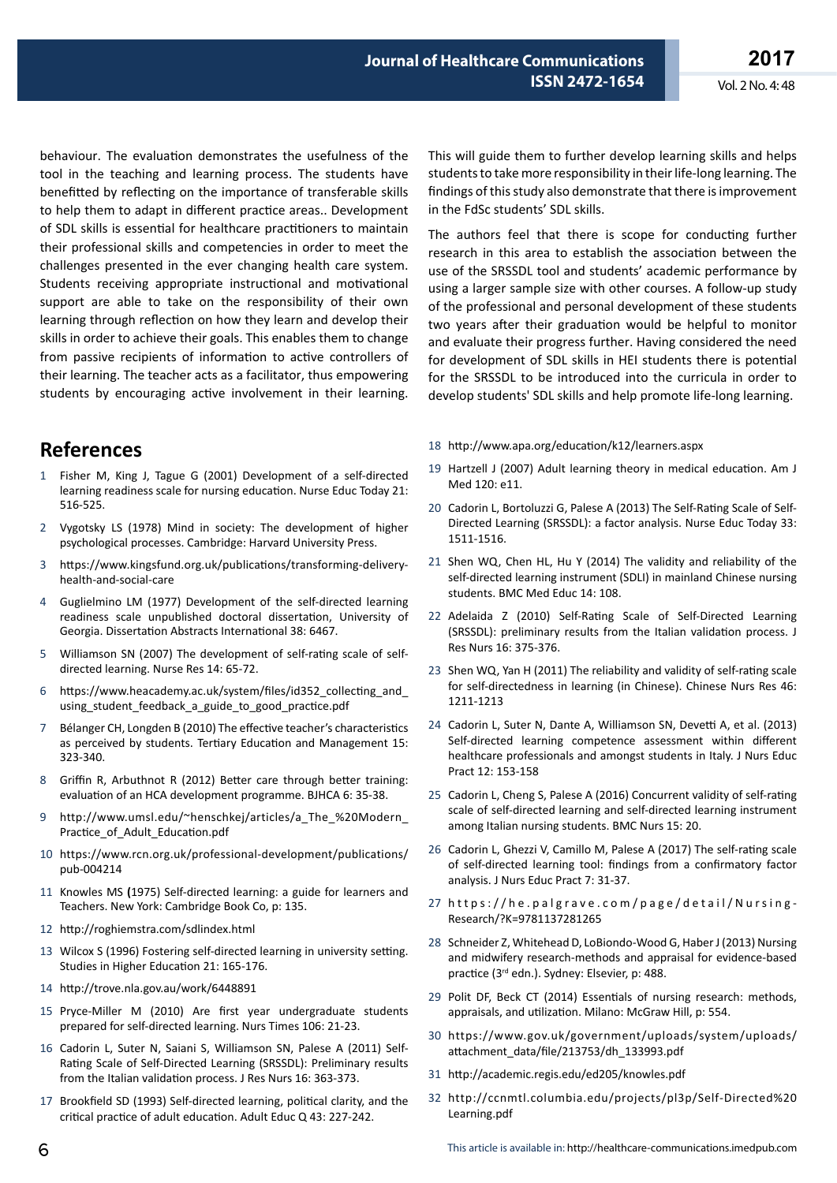behaviour. The evaluation demonstrates the usefulness of the tool in the teaching and learning process. The students have benefitted by reflecting on the importance of transferable skills to help them to adapt in different practice areas.. Development of SDL skills is essential for healthcare practitioners to maintain their professional skills and competencies in order to meet the challenges presented in the ever changing health care system. Students receiving appropriate instructional and motivational support are able to take on the responsibility of their own learning through reflection on how they learn and develop their skills in order to achieve their goals. This enables them to change from passive recipients of information to active controllers of their learning. The teacher acts as a facilitator, thus empowering students by encouraging active involvement in their learning.

## **References**

- 1 Fisher M, King J, Tague G (2001) Development of a self-directed learning readiness scale for nursing education. Nurse Educ Today 21: 516-525.
- 2 Vygotsky LS (1978) Mind in society: The development of higher psychological processes. Cambridge: Harvard University Press.
- 3 https://www.kingsfund.org.uk/publications/transforming-deliveryhealth-and-social-care
- 4 Guglielmino LM (1977) Development of the self-directed learning readiness scale unpublished doctoral dissertation, University of Georgia. Dissertation Abstracts International 38: 6467.
- 5 Williamson SN (2007) The development of self-rating scale of selfdirected learning. Nurse Res 14: 65-72.
- 6 https://www.heacademy.ac.uk/system/files/id352\_collecting\_and\_ using student feedback a guide to good practice.pdf
- 7 Bélanger CH, Longden B (2010) The effective teacher's characteristics as perceived by students. Tertiary Education and Management 15: 323-340.
- 8 Griffin R, Arbuthnot R (2012) Better care through better training: evaluation of an HCA development programme. BJHCA 6: 35-38.
- 9 http://www.umsl.edu/~henschkej/articles/a\_The\_%20Modern\_ Practice of Adult Education.pdf
- 10 https://www.rcn.org.uk/professional-development/publications/ pub-004214
- 11 Knowles MS **(**1975) Self-directed learning: a guide for learners and Teachers. New York: Cambridge Book Co, p: 135.
- 12 http://roghiemstra.com/sdlindex.html
- 13 Wilcox S (1996) Fostering self-directed learning in university setting. Studies in Higher Education 21: 165-176.
- 14 http://trove.nla.gov.au/work/6448891
- 15 Pryce-Miller M (2010) Are first year undergraduate students prepared for self-directed learning. Nurs Times 106: 21-23.
- 16 Cadorin L, Suter N, Saiani S, Williamson SN, Palese A (2011) Self-Rating Scale of Self-Directed Learning (SRSSDL): Preliminary results from the Italian validation process. J Res Nurs 16: 363-373.
- 17 Brookfield SD (1993) Self-directed learning, political clarity, and the critical practice of adult education. Adult Educ Q 43: 227-242.

This will guide them to further develop learning skills and helps students to take more responsibility in their life-long learning. The findings of this study also demonstrate that there is improvement in the FdSc students' SDL skills.

The authors feel that there is scope for conducting further research in this area to establish the association between the use of the SRSSDL tool and students' academic performance by using a larger sample size with other courses. A follow-up study of the professional and personal development of these students two years after their graduation would be helpful to monitor and evaluate their progress further. Having considered the need for development of SDL skills in HEI students there is potential for the SRSSDL to be introduced into the curricula in order to develop students' SDL skills and help promote life-long learning.

- 18 http://www.apa.org/education/k12/learners.aspx
- 19 Hartzell J (2007) Adult learning theory in medical education. Am J Med 120: e11.
- 20 Cadorin L, Bortoluzzi G, Palese A (2013) The Self-Rating Scale of Self-Directed Learning (SRSSDL): a factor analysis. Nurse Educ Today 33: 1511-1516.
- 21 Shen WQ, Chen HL, Hu Y (2014) The validity and reliability of the self-directed learning instrument (SDLI) in mainland Chinese nursing students. BMC Med Educ 14: 108.
- 22 Adelaida Z (2010) Self-Rating Scale of Self-Directed Learning (SRSSDL): preliminary results from the Italian validation process. J Res Nurs 16: 375-376.
- 23 Shen WQ, Yan H (2011) The reliability and validity of self-rating scale for self-directedness in learning (in Chinese). Chinese Nurs Res 46: 1211-1213
- 24 Cadorin L, Suter N, Dante A, Williamson SN, Devetti A, et al. (2013) Self-directed learning competence assessment within different healthcare professionals and amongst students in Italy. J Nurs Educ Pract 12: 153-158
- 25 Cadorin L, Cheng S, Palese A (2016) Concurrent validity of self-rating scale of self-directed learning and self-directed learning instrument among Italian nursing students. BMC Nurs 15: 20.
- 26 Cadorin L, Ghezzi V, Camillo M, Palese A (2017) The self-rating scale of self-directed learning tool: findings from a confirmatory factor analysis. J Nurs Educ Pract 7: 31-37.
- 27 https://he.palgrave.com/page/detail/Nursing-Research/?K=9781137281265
- 28 Schneider Z, Whitehead D, LoBiondo-Wood G, Haber J (2013) Nursing and midwifery research-methods and appraisal for evidence-based practice (3rd edn.). Sydney: Elsevier, p: 488.
- 29 Polit DF, Beck CT (2014) Essentials of nursing research: methods, appraisals, and utilization. Milano: McGraw Hill, p: 554.
- 30 https://www.gov.uk/government/uploads/system/uploads/ attachment\_data/file/213753/dh\_133993.pdf
- 31 http://academic.regis.edu/ed205/knowles.pdf
- 32 http://ccnmtl.columbia.edu/projects/pl3p/Self-Directed%20 Learning.pdf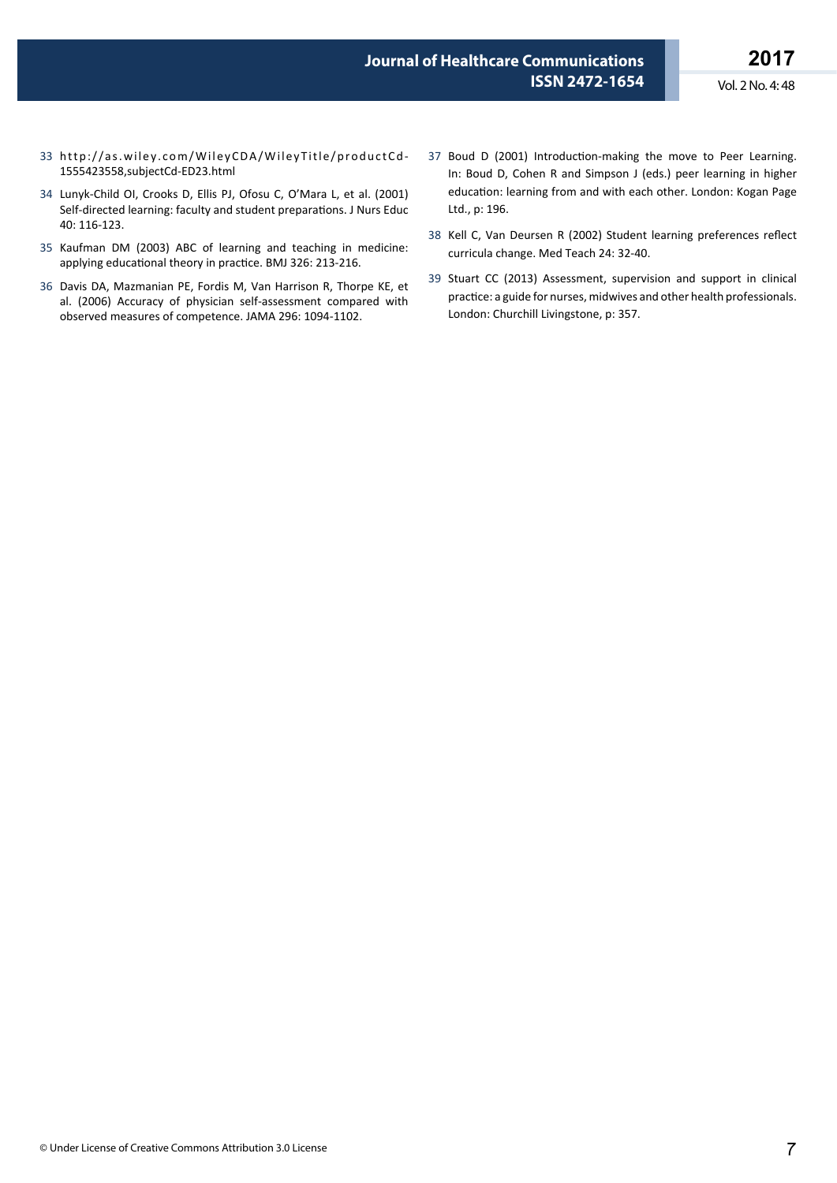- 33 http://as.wiley.com/WileyCDA/WileyTitle/productCd-1555423558,subjectCd-ED23.html
- 34 Lunyk-Child OI, Crooks D, Ellis PJ, Ofosu C, O'Mara L, et al. (2001) Self-directed learning: faculty and student preparations. J Nurs Educ 40: 116-123.
- 35 Kaufman DM (2003) ABC of learning and teaching in medicine: applying educational theory in practice. BMJ 326: 213-216.
- 36 Davis DA, Mazmanian PE, Fordis M, Van Harrison R, Thorpe KE, et al. (2006) Accuracy of physician self-assessment compared with observed measures of competence. JAMA 296: 1094-1102.
- 37 Boud D (2001) Introduction-making the move to Peer Learning. In: Boud D, Cohen R and Simpson J (eds.) peer learning in higher education: learning from and with each other. London: Kogan Page Ltd., p: 196.
- 38 Kell C, Van Deursen R (2002) Student learning preferences reflect curricula change. Med Teach 24: 32-40.
- 39 Stuart CC (2013) Assessment, supervision and support in clinical practice: a guide for nurses, midwives and other health professionals. London: Churchill Livingstone, p: 357.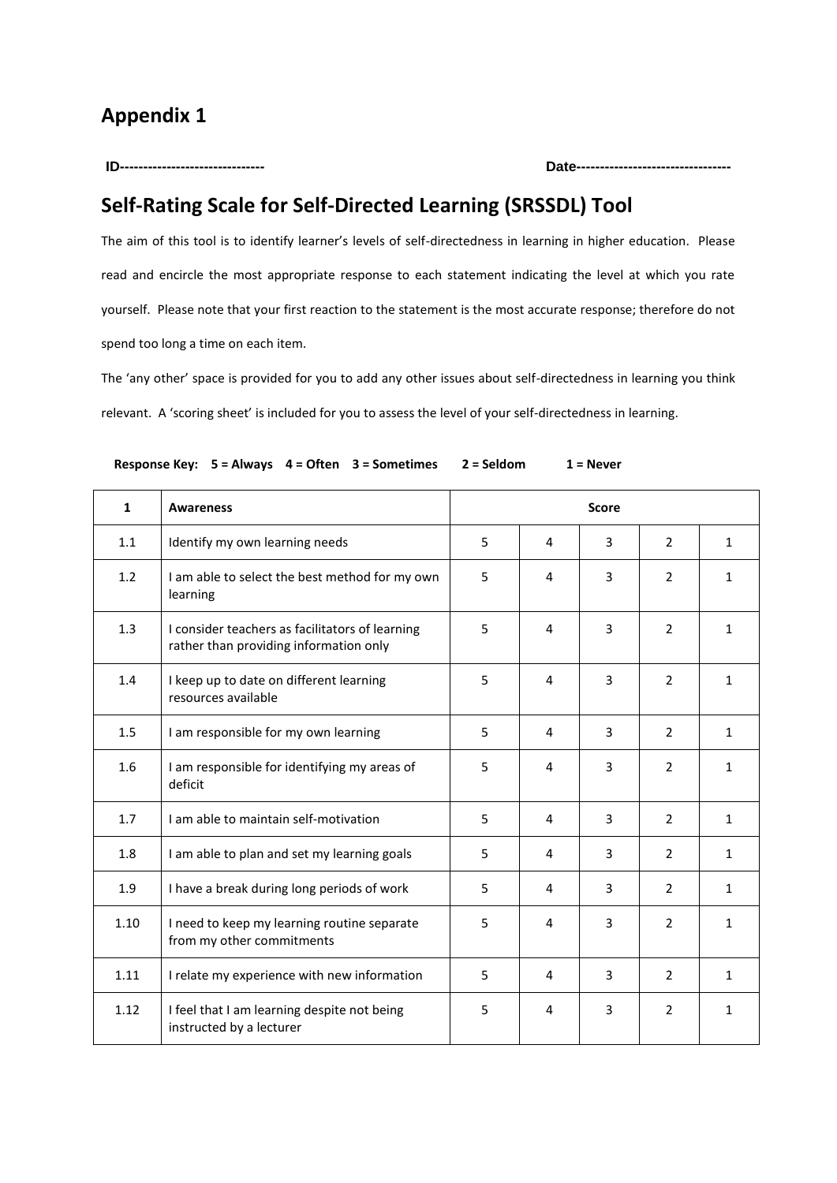## **Appendix 1**

**ID------------------------------- Date---------------------------------**

## **Self-Rating Scale for Self-Directed Learning (SRSSDL) Tool**

The aim of this tool is to identify learner's levels of self-directedness in learning in higher education. Please read and encircle the most appropriate response to each statement indicating the level at which you rate yourself. Please note that your first reaction to the statement is the most accurate response; therefore do not spend too long a time on each item.

The 'any other' space is provided for you to add any other issues about self-directedness in learning you think relevant. A 'scoring sheet' is included for you to assess the level of your self-directedness in learning.

| 1    | <b>Awareness</b>                                                                          | <b>Score</b> |                |   |                |              |
|------|-------------------------------------------------------------------------------------------|--------------|----------------|---|----------------|--------------|
| 1.1  | Identify my own learning needs                                                            | 5            | 4              | 3 | $\overline{2}$ | $\mathbf{1}$ |
| 1.2  | I am able to select the best method for my own<br>learning                                | 5            | $\overline{4}$ | 3 | $\overline{2}$ | $\mathbf{1}$ |
| 1.3  | I consider teachers as facilitators of learning<br>rather than providing information only | 5            | $\overline{4}$ | 3 | $\overline{2}$ | $\mathbf{1}$ |
| 1.4  | I keep up to date on different learning<br>resources available                            | 5            | 4              | 3 | $\overline{2}$ | $\mathbf{1}$ |
| 1.5  | I am responsible for my own learning                                                      | 5            | $\overline{4}$ | 3 | $\overline{2}$ | $\mathbf{1}$ |
| 1.6  | I am responsible for identifying my areas of<br>deficit                                   | 5            | 4              | 3 | $\overline{2}$ | $\mathbf{1}$ |
| 1.7  | I am able to maintain self-motivation                                                     | 5            | $\overline{4}$ | 3 | $\overline{2}$ | $\mathbf{1}$ |
| 1.8  | I am able to plan and set my learning goals                                               | 5            | 4              | 3 | $\overline{2}$ | $\mathbf{1}$ |
| 1.9  | I have a break during long periods of work                                                | 5            | 4              | 3 | $\overline{2}$ | $\mathbf{1}$ |
| 1.10 | I need to keep my learning routine separate<br>from my other commitments                  | 5            | 4              | 3 | $\mathfrak{p}$ | $\mathbf{1}$ |
| 1.11 | I relate my experience with new information                                               | 5            | 4              | 3 | $\overline{2}$ | $\mathbf{1}$ |
| 1.12 | I feel that I am learning despite not being<br>instructed by a lecturer                   | 5            | 4              | 3 | $\overline{2}$ | $\mathbf{1}$ |

Response Key: 5 = Always 4 = Often 3 = Sometimes 2 = Seldom 1 = Never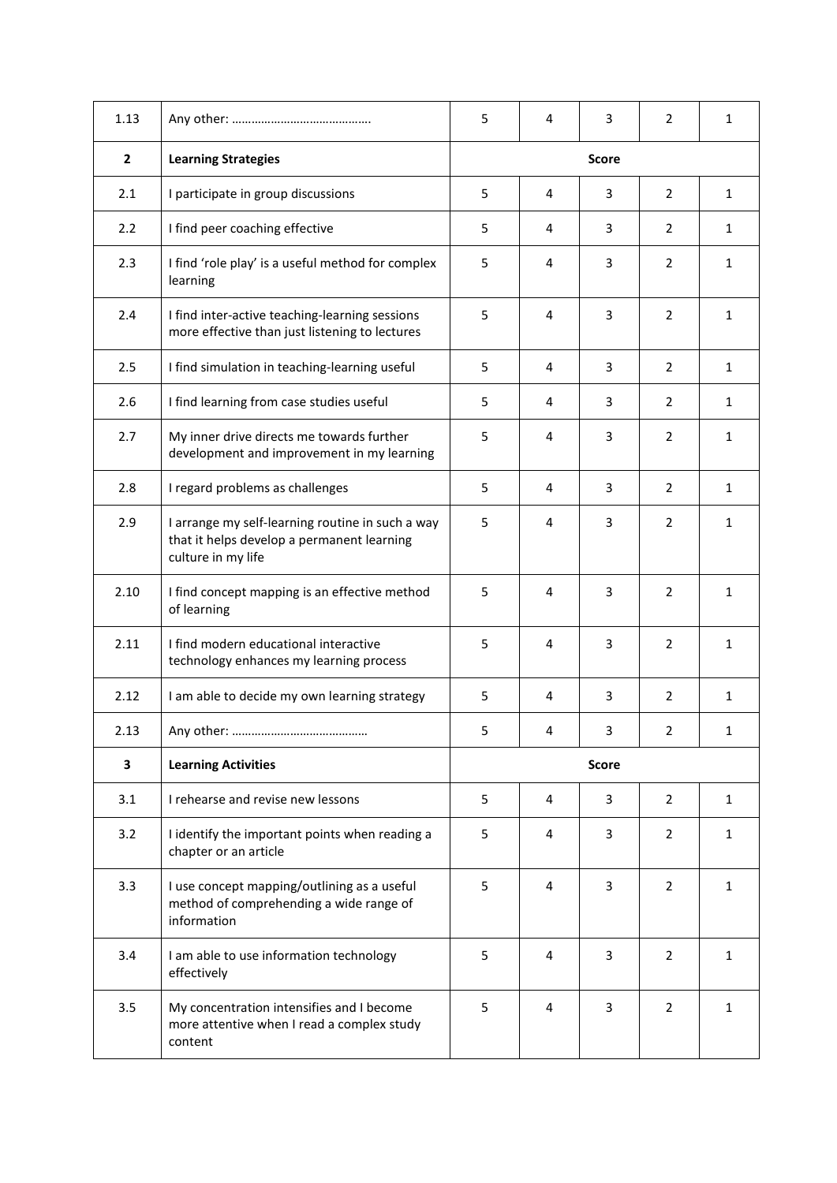| 1.13           |                                                                                                                      | 5                             | 4              | 3            | $\overline{2}$ | 1            |
|----------------|----------------------------------------------------------------------------------------------------------------------|-------------------------------|----------------|--------------|----------------|--------------|
| $\overline{2}$ | <b>Learning Strategies</b>                                                                                           | <b>Score</b>                  |                |              |                |              |
| 2.1            | I participate in group discussions                                                                                   | 5                             | $\overline{2}$ | $\mathbf{1}$ |                |              |
| 2.2            | I find peer coaching effective                                                                                       | 5                             | 4              | 3            | $\overline{2}$ | $\mathbf{1}$ |
| 2.3            | I find 'role play' is a useful method for complex<br>learning                                                        | 5                             | 4              | 3            | $\overline{2}$ | $\mathbf{1}$ |
| 2.4            | I find inter-active teaching-learning sessions<br>more effective than just listening to lectures                     | 5                             | 4              | 3            | $\overline{2}$ | 1            |
| 2.5            | I find simulation in teaching-learning useful                                                                        | 5                             | 4              | 3            | $\overline{2}$ | $\mathbf{1}$ |
| 2.6            | I find learning from case studies useful                                                                             | 5                             | 4              | 3            | 2              | $\mathbf{1}$ |
| 2.7            | My inner drive directs me towards further<br>development and improvement in my learning                              | 5                             | 4              | 3            | 2              | $\mathbf{1}$ |
| 2.8            | I regard problems as challenges                                                                                      | 5                             | 4              | 3            | $\overline{2}$ | $\mathbf{1}$ |
| 2.9            | I arrange my self-learning routine in such a way<br>that it helps develop a permanent learning<br>culture in my life | 5                             | 4              | 3            | $\overline{2}$ | $\mathbf{1}$ |
| 2.10           | I find concept mapping is an effective method<br>of learning                                                         | 5<br>4<br>3<br>$\overline{2}$ |                |              | $\mathbf{1}$   |              |
| 2.11           | I find modern educational interactive<br>technology enhances my learning process                                     | 5                             | 4              | 3            | $\overline{2}$ | $\mathbf{1}$ |
| 2.12           | I am able to decide my own learning strategy                                                                         | 5                             | 4              | 3            | $\overline{2}$ | $\mathbf{1}$ |
| 2.13           |                                                                                                                      | 5                             | Δ              | 3            | 2              | 1            |
| 3              | <b>Learning Activities</b>                                                                                           | <b>Score</b>                  |                |              |                |              |
| 3.1            | I rehearse and revise new lessons                                                                                    | 5                             | 4              | 3            | 2              | $\mathbf{1}$ |
| 3.2            | I identify the important points when reading a<br>chapter or an article                                              | 5                             | 4              | 3            | $\overline{2}$ | $\mathbf{1}$ |
| 3.3            | I use concept mapping/outlining as a useful<br>method of comprehending a wide range of<br>information                | 5                             | 4              | 3            | $\overline{2}$ | $\mathbf{1}$ |
| 3.4            | I am able to use information technology<br>effectively                                                               | 5<br>4<br>3<br>2              |                |              | $\mathbf{1}$   |              |
| 3.5            | My concentration intensifies and I become<br>more attentive when I read a complex study<br>content                   | 5                             | 4              | 3            | $\overline{2}$ | $\mathbf{1}$ |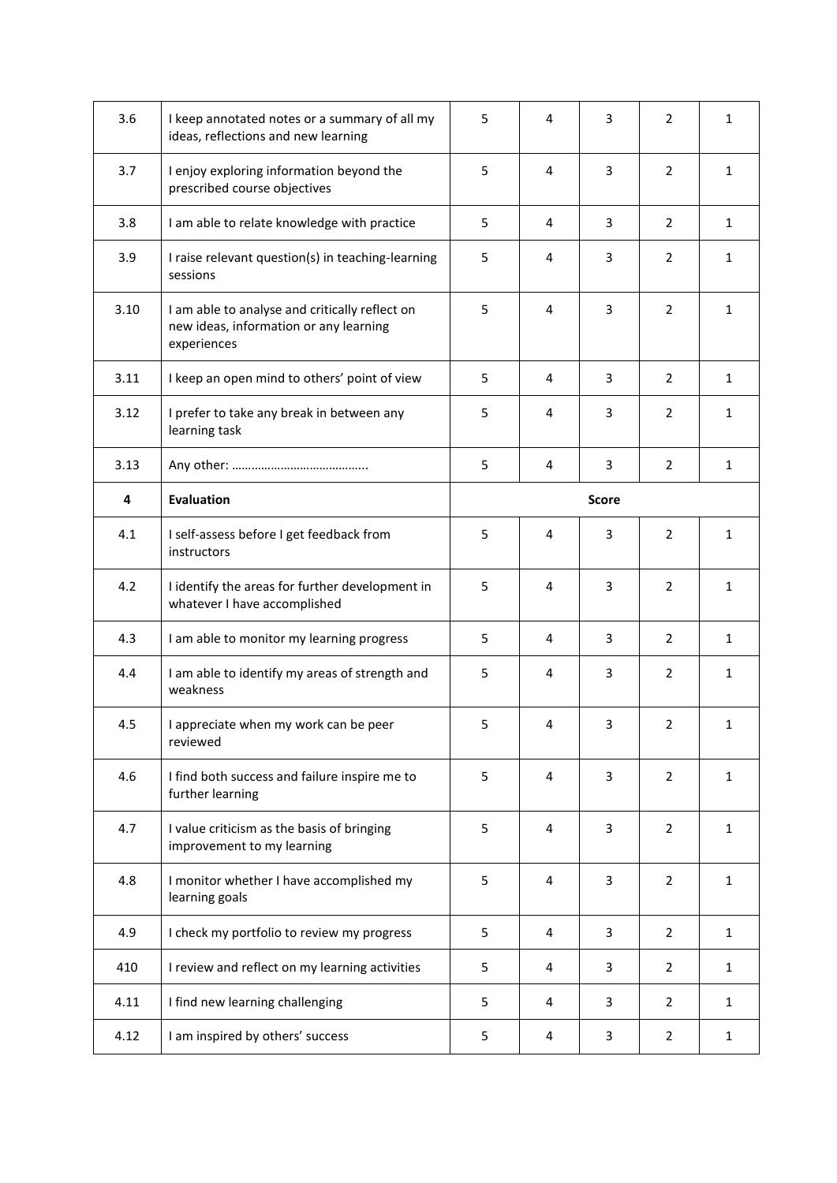| 3.6  | I keep annotated notes or a summary of all my<br>ideas, reflections and new learning                    | 5                | 4 | 3 | $\overline{2}$ | $\mathbf{1}$ |
|------|---------------------------------------------------------------------------------------------------------|------------------|---|---|----------------|--------------|
| 3.7  | I enjoy exploring information beyond the<br>prescribed course objectives                                | 5                | 4 | 3 | $\overline{2}$ | $\mathbf{1}$ |
| 3.8  | I am able to relate knowledge with practice                                                             | 5                | 4 | 3 | 2              | $\mathbf{1}$ |
| 3.9  | I raise relevant question(s) in teaching-learning<br>sessions                                           | 5                | 4 | 3 | 2              | $\mathbf{1}$ |
| 3.10 | I am able to analyse and critically reflect on<br>new ideas, information or any learning<br>experiences | 5                | 4 | 3 | 2              | $\mathbf{1}$ |
| 3.11 | I keep an open mind to others' point of view                                                            | 5                | 4 | 3 | $\overline{2}$ | $\mathbf{1}$ |
| 3.12 | I prefer to take any break in between any<br>learning task                                              | 5                | 4 | 3 | $\overline{2}$ | $\mathbf{1}$ |
| 3.13 |                                                                                                         | 5                | 4 | 3 | 2              | $\mathbf{1}$ |
| 4    | <b>Evaluation</b>                                                                                       | <b>Score</b>     |   |   |                |              |
| 4.1  | I self-assess before I get feedback from<br>instructors                                                 | 5                | 4 | 3 | $\overline{2}$ | $\mathbf{1}$ |
| 4.2  | I identify the areas for further development in<br>whatever I have accomplished                         | 5<br>3<br>4<br>2 |   |   |                | 1            |
| 4.3  | I am able to monitor my learning progress                                                               | 5                | 4 | 3 | 2              | $\mathbf{1}$ |
| 4.4  | I am able to identify my areas of strength and<br>weakness                                              | 5                | 4 | 3 | $\overline{2}$ | $\mathbf{1}$ |
| 4.5  | I appreciate when my work can be peer<br>reviewed                                                       | 5                | 4 | 3 | $\overline{2}$ | 1            |
| 4.6  | I find both success and failure inspire me to<br>further learning                                       | 5                | 4 | 3 | 2              | $\mathbf{1}$ |
| 4.7  | I value criticism as the basis of bringing<br>improvement to my learning                                | 5                | 4 | 3 | $\overline{2}$ | $\mathbf{1}$ |
| 4.8  | I monitor whether I have accomplished my<br>learning goals                                              | 5                | 4 | 3 | $\overline{2}$ | $\mathbf{1}$ |
| 4.9  | I check my portfolio to review my progress                                                              | 5                | 4 | 3 | $\overline{2}$ | $\mathbf{1}$ |
| 410  | I review and reflect on my learning activities                                                          | 5                | 4 | 3 | 2              | $\mathbf{1}$ |
| 4.11 | I find new learning challenging                                                                         | 5                | 4 | 3 | $\overline{2}$ | $\mathbf{1}$ |
| 4.12 | I am inspired by others' success                                                                        | 5                | 4 | 3 | $\overline{2}$ | $\mathbf{1}$ |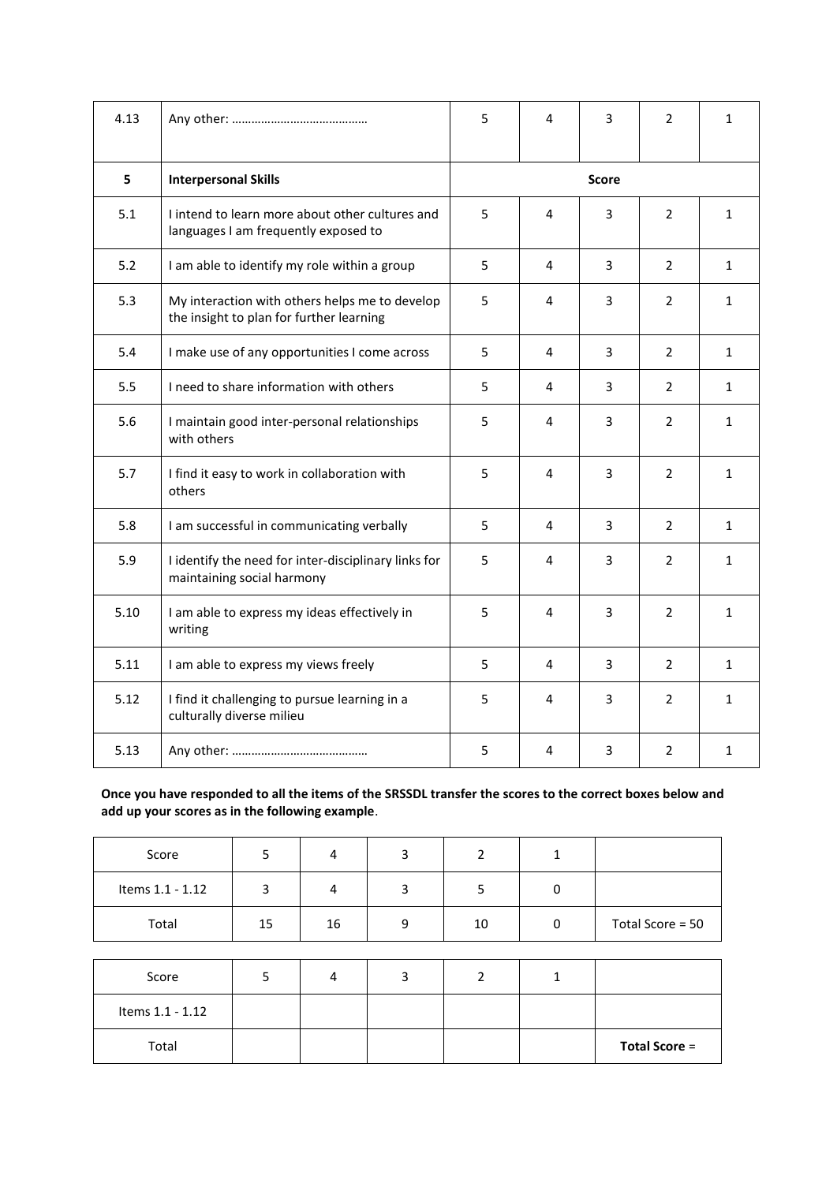| 4.13 |                                                                                            | 5                             | 4 | 3            | $\overline{2}$ | 1            |
|------|--------------------------------------------------------------------------------------------|-------------------------------|---|--------------|----------------|--------------|
|      |                                                                                            |                               |   |              |                |              |
| 5    | <b>Interpersonal Skills</b>                                                                |                               |   | <b>Score</b> |                |              |
| 5.1  | I intend to learn more about other cultures and<br>languages I am frequently exposed to    | 5<br>4<br>3<br>$\overline{2}$ |   |              |                |              |
| 5.2  | I am able to identify my role within a group                                               | 5<br>4<br>3<br>$\overline{2}$ |   |              |                |              |
| 5.3  | My interaction with others helps me to develop<br>the insight to plan for further learning | 5<br>4<br>3<br>$\overline{2}$ |   |              |                | $\mathbf{1}$ |
| 5.4  | I make use of any opportunities I come across                                              | 5                             | 4 | 3            | $\overline{2}$ | $\mathbf{1}$ |
| 5.5  | I need to share information with others                                                    | 5                             | 4 | 3            | $\overline{2}$ | $\mathbf{1}$ |
| 5.6  | I maintain good inter-personal relationships<br>with others                                | 5                             | 4 | 3            | $\overline{2}$ | $\mathbf{1}$ |
| 5.7  | I find it easy to work in collaboration with<br>others                                     | 5                             | 4 | 3            | $\overline{2}$ | $\mathbf{1}$ |
| 5.8  | I am successful in communicating verbally                                                  | 5                             | 4 | 3            | 2              | $\mathbf{1}$ |
| 5.9  | I identify the need for inter-disciplinary links for<br>maintaining social harmony         | 5                             | 4 | 3            | 2              | $\mathbf{1}$ |
| 5.10 | I am able to express my ideas effectively in<br>writing                                    | 5                             | 4 | 3            | $\overline{2}$ | $\mathbf{1}$ |
| 5.11 | I am able to express my views freely                                                       | 5                             | 4 | 3            | $\overline{2}$ | $\mathbf{1}$ |
| 5.12 | I find it challenging to pursue learning in a<br>culturally diverse milieu                 | 5                             | 4 | 3            | $\overline{2}$ | $\mathbf{1}$ |
| 5.13 |                                                                                            | 5                             | 4 | 3            | $\overline{2}$ | $\mathbf{1}$ |

**Once you have responded to all the items of the SRSSDL transfer the scores to the correct boxes below and add up your scores as in the following example**.

| Score            | 5  | 4  | 3 | 2  |          |                      |
|------------------|----|----|---|----|----------|----------------------|
| Items 1.1 - 1.12 | 3  | 4  | 3 | 5  | $\Omega$ |                      |
| Total            | 15 | 16 | 9 | 10 | 0        | Total Score = 50     |
|                  |    |    |   |    |          |                      |
| Score            | 5  | 4  | 3 | 2  |          |                      |
| Items 1.1 - 1.12 |    |    |   |    |          |                      |
| Total            |    |    |   |    |          | <b>Total Score =</b> |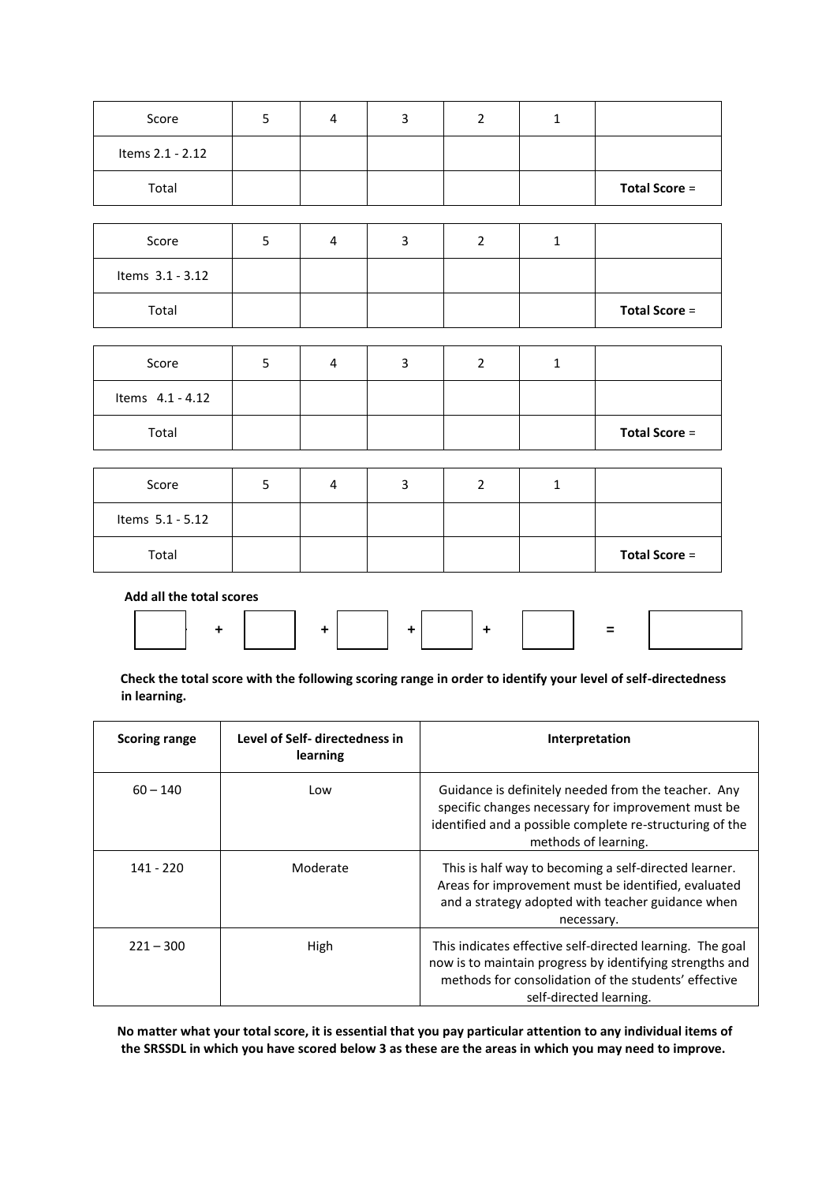| 5 | 4 | $\overline{3}$ | $\overline{2}$ | $\mathbf 1$ |                      |
|---|---|----------------|----------------|-------------|----------------------|
|   |   |                |                |             |                      |
|   |   |                |                |             | <b>Total Score =</b> |
|   |   |                |                |             |                      |
| 5 | 4 | $\overline{3}$ | $\overline{2}$ | $\mathbf 1$ |                      |
|   |   |                |                |             |                      |
|   |   |                |                |             | <b>Total Score =</b> |
|   |   |                |                |             |                      |
| 5 | 4 | 3              | $\overline{2}$ | $\mathbf 1$ |                      |
|   |   |                |                |             |                      |
|   |   |                |                |             | <b>Total Score =</b> |
|   |   |                |                |             |                      |
| 5 | 4 | 3              | $\overline{2}$ | $\mathbf 1$ |                      |
|   |   |                |                |             |                      |
|   |   |                |                |             |                      |

 **Add all the total scores**



 **Check the total score with the following scoring range in order to identify your level of self-directedness in learning.**

Total **Total Score** =

| <b>Scoring range</b> | Level of Self- directedness in<br>learning | Interpretation                                                                                                                                                                                           |
|----------------------|--------------------------------------------|----------------------------------------------------------------------------------------------------------------------------------------------------------------------------------------------------------|
| $60 - 140$           | Low                                        | Guidance is definitely needed from the teacher. Any<br>specific changes necessary for improvement must be<br>identified and a possible complete re-structuring of the<br>methods of learning.            |
| $141 - 220$          | Moderate                                   | This is half way to becoming a self-directed learner.<br>Areas for improvement must be identified, evaluated<br>and a strategy adopted with teacher guidance when<br>necessary.                          |
| $221 - 300$          | <b>High</b>                                | This indicates effective self-directed learning. The goal<br>now is to maintain progress by identifying strengths and<br>methods for consolidation of the students' effective<br>self-directed learning. |

 **No matter what your total score, it is essential that you pay particular attention to any individual items of the SRSSDL in which you have scored below 3 as these are the areas in which you may need to improve.**